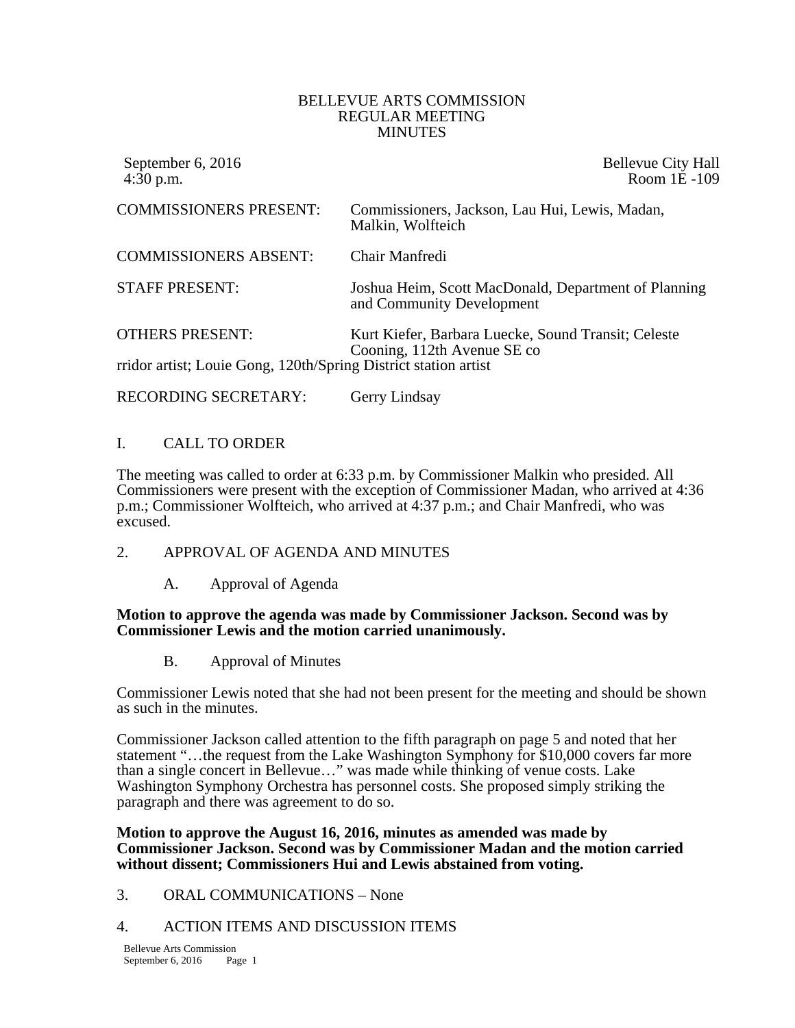#### BELLEVUE ARTS COMMISSION REGULAR MEETING **MINUTES**

September 6, 2016 **Bellevue City Hall** 4:30 p.m. Room 1E -109

| <b>COMMISSIONERS PRESENT:</b>                                   | Commissioners, Jackson, Lau Hui, Lewis, Madan,<br>Malkin, Wolfteich                |
|-----------------------------------------------------------------|------------------------------------------------------------------------------------|
| <b>COMMISSIONERS ABSENT:</b>                                    | Chair Manfredi                                                                     |
| <b>STAFF PRESENT:</b>                                           | Joshua Heim, Scott MacDonald, Department of Planning<br>and Community Development  |
| <b>OTHERS PRESENT:</b>                                          | Kurt Kiefer, Barbara Luecke, Sound Transit; Celeste<br>Cooning, 112th Avenue SE co |
| rridor artist; Louie Gong, 120th/Spring District station artist |                                                                                    |

RECORDING SECRETARY: Gerry Lindsay

### I. CALL TO ORDER

The meeting was called to order at 6:33 p.m. by Commissioner Malkin who presided. All Commissioners were present with the exception of Commissioner Madan, who arrived at 4:36 p.m.; Commissioner Wolfteich, who arrived at 4:37 p.m.; and Chair Manfredi, who was excused.

#### 2. APPROVAL OF AGENDA AND MINUTES

A. Approval of Agenda

#### **Motion to approve the agenda was made by Commissioner Jackson. Second was by Commissioner Lewis and the motion carried unanimously.**

B. Approval of Minutes

Commissioner Lewis noted that she had not been present for the meeting and should be shown as such in the minutes.

Commissioner Jackson called attention to the fifth paragraph on page 5 and noted that her statement "…the request from the Lake Washington Symphony for \$10,000 covers far more than a single concert in Bellevue…" was made while thinking of venue costs. Lake Washington Symphony Orchestra has personnel costs. She proposed simply striking the paragraph and there was agreement to do so.

**Motion to approve the August 16, 2016, minutes as amended was made by Commissioner Jackson. Second was by Commissioner Madan and the motion carried without dissent; Commissioners Hui and Lewis abstained from voting.** 

3. ORAL COMMUNICATIONS – None

#### 4. ACTION ITEMS AND DISCUSSION ITEMS

Bellevue Arts Commission September 6, 2016 Page 1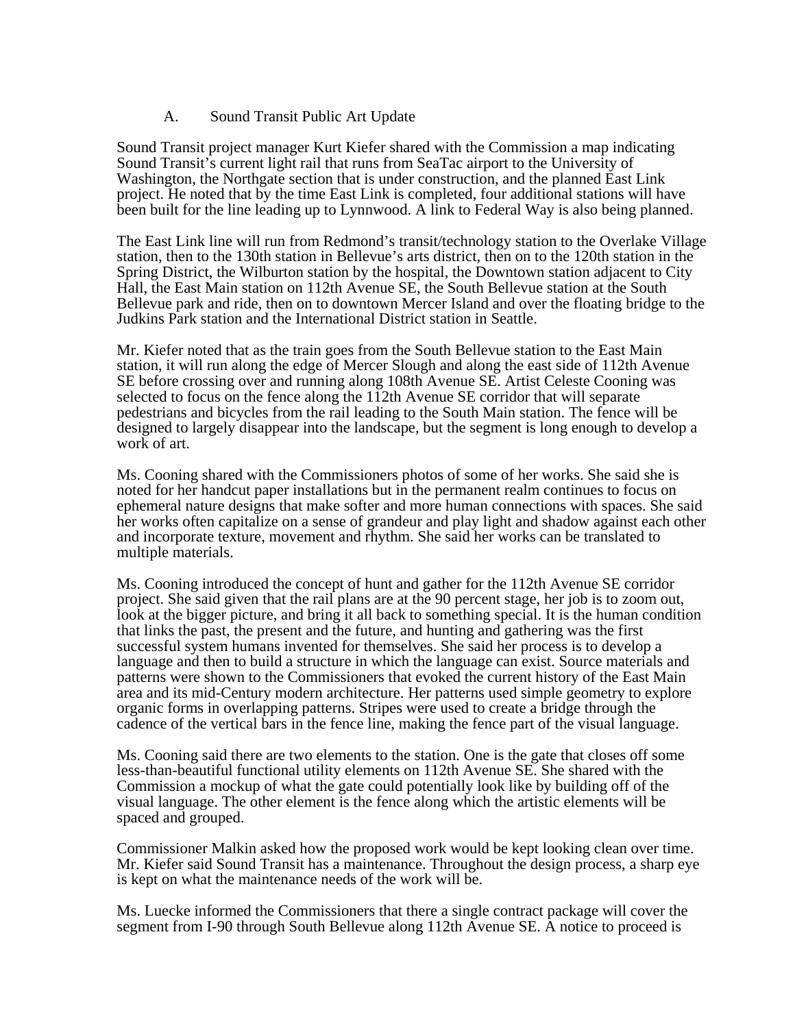#### A. Sound Transit Public Art Update

Sound Transit project manager Kurt Kiefer shared with the Commission a map indicating Sound Transit's current light rail that runs from SeaTac airport to the University of Washington, the Northgate section that is under construction, and the planned East Link project. He noted that by the time East Link is completed, four additional stations will have been built for the line leading up to Lynnwood. A link to Federal Way is also being planned.

The East Link line will run from Redmond's transit/technology station to the Overlake Village station, then to the 130th station in Bellevue's arts district, then on to the 120th station in the Spring District, the Wilburton station by the hospital, the Downtown station adjacent to City Hall, the East Main station on 112th Avenue SE, the South Bellevue station at the South Bellevue park and ride, then on to downtown Mercer Island and over the floating bridge to the Judkins Park station and the International District station in Seattle.

Mr. Kiefer noted that as the train goes from the South Bellevue station to the East Main station, it will run along the edge of Mercer Slough and along the east side of 112th Avenue SE before crossing over and running along 108th Avenue SE. Artist Celeste Cooning was selected to focus on the fence along the 112th Avenue SE corridor that will separate pedestrians and bicycles from the rail leading to the South Main station. The fence will be designed to largely disappear into the landscape, but the segment is long enough to develop a work of art.

Ms. Cooning shared with the Commissioners photos of some of her works. She said she is noted for her handcut paper installations but in the permanent realm continues to focus on ephemeral nature designs that make softer and more human connections with spaces. She said her works often capitalize on a sense of grandeur and play light and shadow against each other and incorporate texture, movement and rhythm. She said her works can be translated to multiple materials.

Ms. Cooning introduced the concept of hunt and gather for the 112th Avenue SE corridor project. She said given that the rail plans are at the 90 percent stage, her job is to zoom out, look at the bigger picture, and bring it all back to something special. It is the human condition that links the past, the present and the future, and hunting and gathering was the first successful system humans invented for themselves. She said her process is to develop a language and then to build a structure in which the language can exist. Source materials and patterns were shown to the Commissioners that evoked the current history of the East Main area and its mid-Century modern architecture. Her patterns used simple geometry to explore organic forms in overlapping patterns. Stripes were used to create a bridge through the cadence of the vertical bars in the fence line, making the fence part of the visual language.

Ms. Cooning said there are two elements to the station. One is the gate that closes off some less-than-beautiful functional utility elements on 112th Avenue SE. She shared with the Commission a mockup of what the gate could potentially look like by building off of the visual language. The other element is the fence along which the artistic elements will be spaced and grouped.

Commissioner Malkin asked how the proposed work would be kept looking clean over time. Mr. Kiefer said Sound Transit has a maintenance. Throughout the design process, a sharp eye is kept on what the maintenance needs of the work will be.

Ms. Luecke informed the Commissioners that there a single contract package will cover the segment from I-90 through South Bellevue along 112th Avenue SE. A notice to proceed is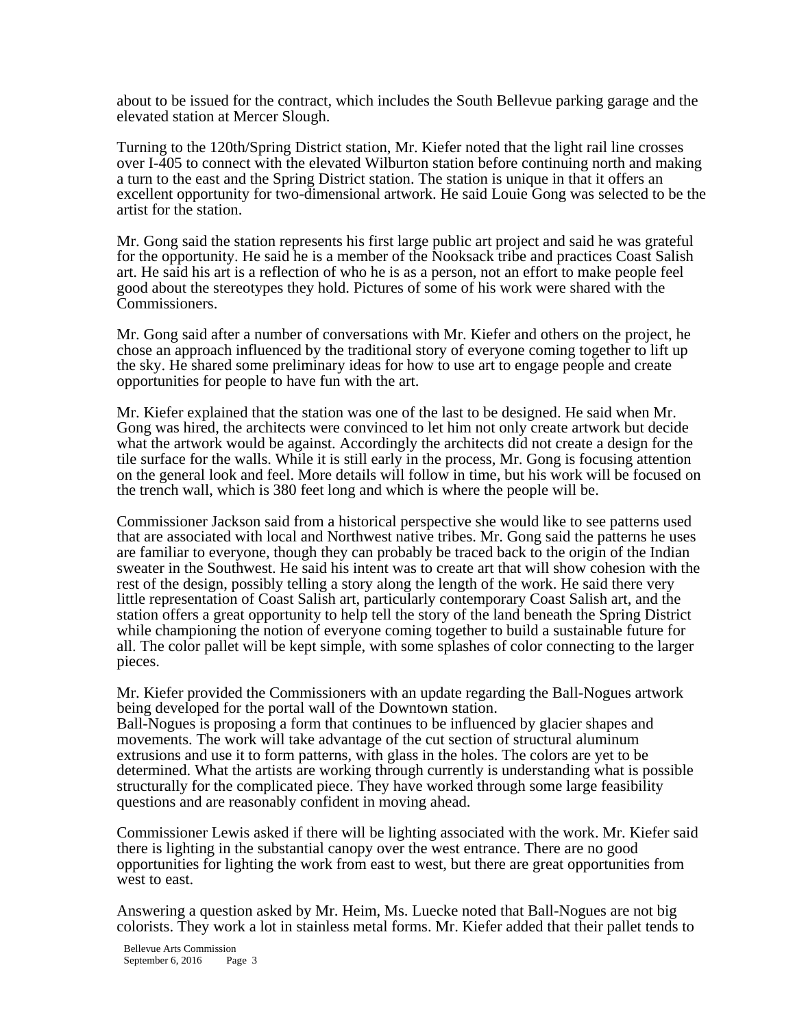about to be issued for the contract, which includes the South Bellevue parking garage and the elevated station at Mercer Slough.

Turning to the 120th/Spring District station, Mr. Kiefer noted that the light rail line crosses over I-405 to connect with the elevated Wilburton station before continuing north and making a turn to the east and the Spring District station. The station is unique in that it offers an excellent opportunity for two-dimensional artwork. He said Louie Gong was selected to be the artist for the station.

Mr. Gong said the station represents his first large public art project and said he was grateful for the opportunity. He said he is a member of the Nooksack tribe and practices Coast Salish art. He said his art is a reflection of who he is as a person, not an effort to make people feel good about the stereotypes they hold. Pictures of some of his work were shared with the Commissioners.

Mr. Gong said after a number of conversations with Mr. Kiefer and others on the project, he chose an approach influenced by the traditional story of everyone coming together to lift up the sky. He shared some preliminary ideas for how to use art to engage people and create opportunities for people to have fun with the art.

Mr. Kiefer explained that the station was one of the last to be designed. He said when Mr. Gong was hired, the architects were convinced to let him not only create artwork but decide what the artwork would be against. Accordingly the architects did not create a design for the tile surface for the walls. While it is still early in the process, Mr. Gong is focusing attention on the general look and feel. More details will follow in time, but his work will be focused on the trench wall, which is 380 feet long and which is where the people will be.

Commissioner Jackson said from a historical perspective she would like to see patterns used that are associated with local and Northwest native tribes. Mr. Gong said the patterns he uses are familiar to everyone, though they can probably be traced back to the origin of the Indian sweater in the Southwest. He said his intent was to create art that will show cohesion with the rest of the design, possibly telling a story along the length of the work. He said there very little representation of Coast Salish art, particularly contemporary Coast Salish art, and the station offers a great opportunity to help tell the story of the land beneath the Spring District while championing the notion of everyone coming together to build a sustainable future for all. The color pallet will be kept simple, with some splashes of color connecting to the larger pieces.

Mr. Kiefer provided the Commissioners with an update regarding the Ball-Nogues artwork being developed for the portal wall of the Downtown station.

Ball-Nogues is proposing a form that continues to be influenced by glacier shapes and movements. The work will take advantage of the cut section of structural aluminum extrusions and use it to form patterns, with glass in the holes. The colors are yet to be determined. What the artists are working through currently is understanding what is possible structurally for the complicated piece. They have worked through some large feasibility questions and are reasonably confident in moving ahead.

Commissioner Lewis asked if there will be lighting associated with the work. Mr. Kiefer said there is lighting in the substantial canopy over the west entrance. There are no good opportunities for lighting the work from east to west, but there are great opportunities from west to east.

Answering a question asked by Mr. Heim, Ms. Luecke noted that Ball-Nogues are not big colorists. They work a lot in stainless metal forms. Mr. Kiefer added that their pallet tends to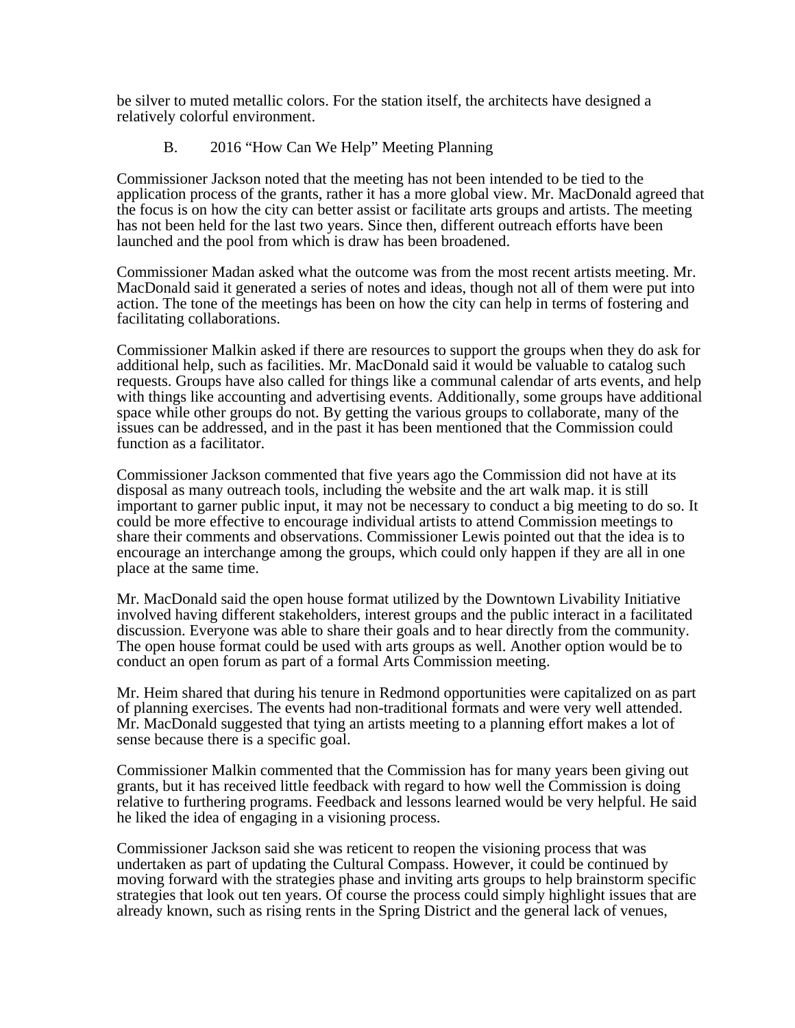be silver to muted metallic colors. For the station itself, the architects have designed a relatively colorful environment.

### B. 2016 "How Can We Help" Meeting Planning

Commissioner Jackson noted that the meeting has not been intended to be tied to the application process of the grants, rather it has a more global view. Mr. MacDonald agreed that the focus is on how the city can better assist or facilitate arts groups and artists. The meeting has not been held for the last two years. Since then, different outreach efforts have been launched and the pool from which is draw has been broadened.

Commissioner Madan asked what the outcome was from the most recent artists meeting. Mr. MacDonald said it generated a series of notes and ideas, though not all of them were put into action. The tone of the meetings has been on how the city can help in terms of fostering and facilitating collaborations.

Commissioner Malkin asked if there are resources to support the groups when they do ask for additional help, such as facilities. Mr. MacDonald said it would be valuable to catalog such requests. Groups have also called for things like a communal calendar of arts events, and help with things like accounting and advertising events. Additionally, some groups have additional space while other groups do not. By getting the various groups to collaborate, many of the issues can be addressed, and in the past it has been mentioned that the Commission could function as a facilitator.

Commissioner Jackson commented that five years ago the Commission did not have at its disposal as many outreach tools, including the website and the art walk map. it is still important to garner public input, it may not be necessary to conduct a big meeting to do so. It could be more effective to encourage individual artists to attend Commission meetings to share their comments and observations. Commissioner Lewis pointed out that the idea is to encourage an interchange among the groups, which could only happen if they are all in one place at the same time.

Mr. MacDonald said the open house format utilized by the Downtown Livability Initiative involved having different stakeholders, interest groups and the public interact in a facilitated discussion. Everyone was able to share their goals and to hear directly from the community. The open house format could be used with arts groups as well. Another option would be to conduct an open forum as part of a formal Arts Commission meeting.

Mr. Heim shared that during his tenure in Redmond opportunities were capitalized on as part of planning exercises. The events had non-traditional formats and were very well attended. Mr. MacDonald suggested that tying an artists meeting to a planning effort makes a lot of sense because there is a specific goal.

Commissioner Malkin commented that the Commission has for many years been giving out grants, but it has received little feedback with regard to how well the Commission is doing relative to furthering programs. Feedback and lessons learned would be very helpful. He said he liked the idea of engaging in a visioning process.

Commissioner Jackson said she was reticent to reopen the visioning process that was undertaken as part of updating the Cultural Compass. However, it could be continued by moving forward with the strategies phase and inviting arts groups to help brainstorm specific strategies that look out ten years. Of course the process could simply highlight issues that are already known, such as rising rents in the Spring District and the general lack of venues,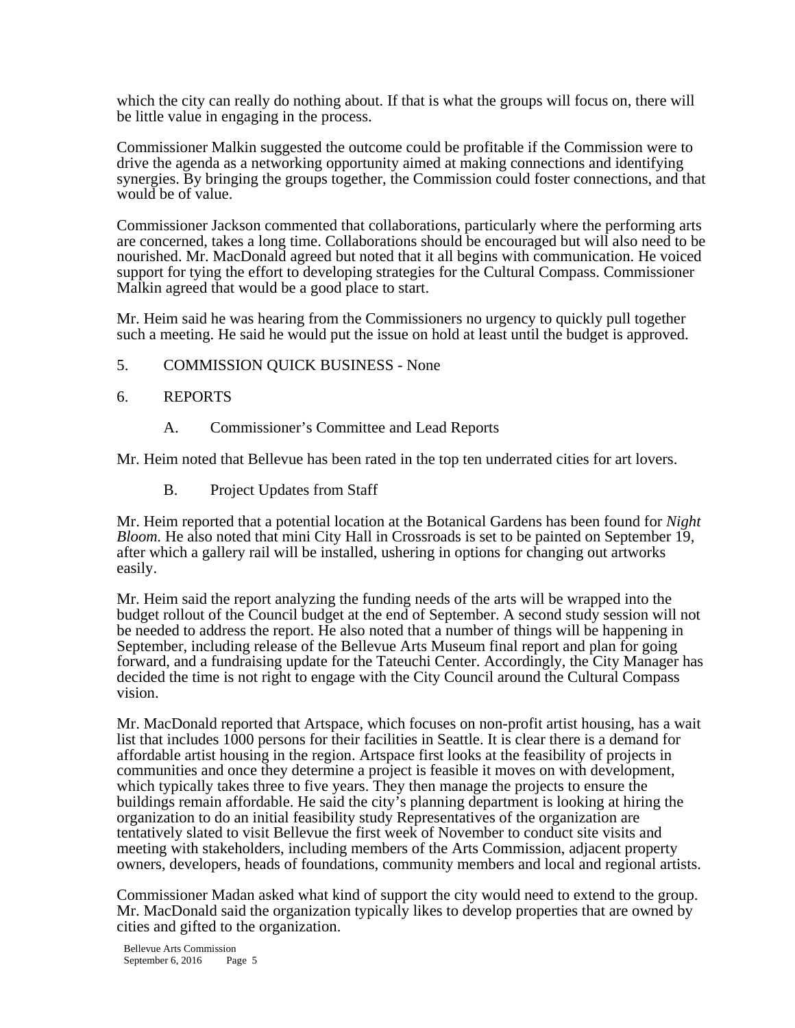which the city can really do nothing about. If that is what the groups will focus on, there will be little value in engaging in the process.

Commissioner Malkin suggested the outcome could be profitable if the Commission were to drive the agenda as a networking opportunity aimed at making connections and identifying synergies. By bringing the groups together, the Commission could foster connections, and that would be of value.

Commissioner Jackson commented that collaborations, particularly where the performing arts are concerned, takes a long time. Collaborations should be encouraged but will also need to be nourished. Mr. MacDonald agreed but noted that it all begins with communication. He voiced support for tying the effort to developing strategies for the Cultural Compass. Commissioner Malkin agreed that would be a good place to start.

Mr. Heim said he was hearing from the Commissioners no urgency to quickly pull together such a meeting. He said he would put the issue on hold at least until the budget is approved.

- 5. COMMISSION QUICK BUSINESS None
- 6. REPORTS
	- A. Commissioner's Committee and Lead Reports

Mr. Heim noted that Bellevue has been rated in the top ten underrated cities for art lovers.

B. Project Updates from Staff

Mr. Heim reported that a potential location at the Botanical Gardens has been found for *Night Bloom.* He also noted that mini City Hall in Crossroads is set to be painted on September 19, after which a gallery rail will be installed, ushering in options for changing out artworks easily.

Mr. Heim said the report analyzing the funding needs of the arts will be wrapped into the budget rollout of the Council budget at the end of September. A second study session will not be needed to address the report. He also noted that a number of things will be happening in September, including release of the Bellevue Arts Museum final report and plan for going forward, and a fundraising update for the Tateuchi Center. Accordingly, the City Manager has decided the time is not right to engage with the City Council around the Cultural Compass vision.

Mr. MacDonald reported that Artspace, which focuses on non-profit artist housing, has a wait list that includes 1000 persons for their facilities in Seattle. It is clear there is a demand for affordable artist housing in the region. Artspace first looks at the feasibility of projects in communities and once they determine a project is feasible it moves on with development, which typically takes three to five years. They then manage the projects to ensure the buildings remain affordable. He said the city's planning department is looking at hiring the organization to do an initial feasibility study Representatives of the organization are tentatively slated to visit Bellevue the first week of November to conduct site visits and meeting with stakeholders, including members of the Arts Commission, adjacent property owners, developers, heads of foundations, community members and local and regional artists.

Commissioner Madan asked what kind of support the city would need to extend to the group. Mr. MacDonald said the organization typically likes to develop properties that are owned by cities and gifted to the organization.